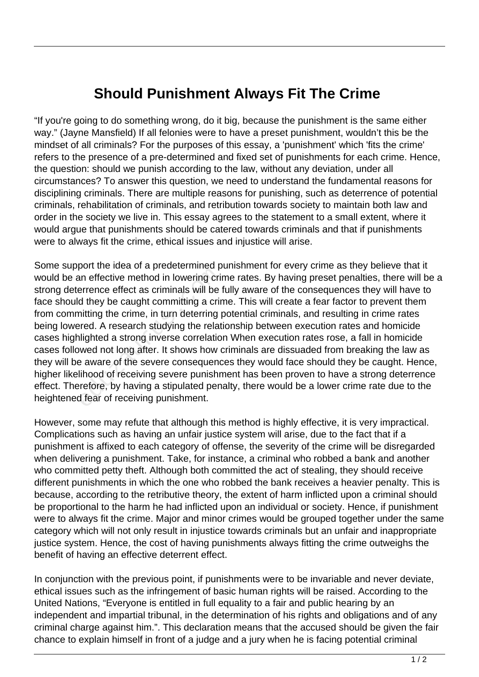## **Should Punishment Always Fit The Crime**

"If you're going to do something wrong, do it big, because the punishment is the same either way." (Jayne Mansfield) If all felonies were to have a preset punishment, wouldn't this be the mindset of all criminals? For the purposes of this essay, a 'punishment' which 'fits the crime' refers to the presence of a pre-determined and fixed set of punishments for each crime. Hence, the question: should we punish according to the law, without any deviation, under all circumstances? To answer this question, we need to understand the fundamental reasons for disciplining criminals. There are multiple reasons for punishing, such as deterrence of potential criminals, rehabilitation of criminals, and retribution towards society to maintain both law and order in the society we live in. This essay agrees to the statement to a small extent, where it would argue that punishments should be catered towards criminals and that if punishments were to always fit the crime, ethical issues and injustice will arise.

Some support the idea of a predetermined punishment for every crime as they believe that it would be an effective method in lowering crime rates. By having preset penalties, there will be a strong deterrence effect as criminals will be fully aware of the consequences they will have to face should they be caught committing a crime. This will create a fear factor to prevent them from committing the crime, in turn deterring potential criminals, and resulting in crime rates being lowered. A research studying the relationship between execution rates and homicide cases highlighted a strong inverse correlation When execution rates rose, a fall in homicide cases followed not long after. It shows how criminals are dissuaded from breaking the law as they will be aware of the severe consequences they would face should they be caught. Hence, higher likelihood of receiving severe punishment has been proven to have a strong deterrence effect. Therefore, by having a stipulated penalty, there would be a lower crime rate due to the heightened fear of receiving punishment. an effective method in lowering cri-<br>an effective method in lowering cri-<br>arrence effect as criminals will be<br>d they be caught committing a crim-<br>initing the crime, in turn deterring prediction<br>arred. A research studying t

However, some may refute that although this method is highly effective, it is very impractical. Complications such as having an unfair justice system will arise, due to the fact that if a punishment is affixed to each category of offense, the severity of the crime will be disregarded when delivering a punishment. Take, for instance, a criminal who robbed a bank and another who committed petty theft. Although both committed the act of stealing, they should receive different punishments in which the one who robbed the bank receives a heavier penalty. This is because, according to the retributive theory, the extent of harm inflicted upon a criminal should be proportional to the harm he had inflicted upon an individual or society. Hence, if punishment were to always fit the crime. Major and minor crimes would be grouped together under the same category which will not only result in injustice towards criminals but an unfair and inappropriate justice system. Hence, the cost of having punishments always fitting the crime outweighs the benefit of having an effective deterrent effect.

In conjunction with the previous point, if punishments were to be invariable and never deviate, ethical issues such as the infringement of basic human rights will be raised. According to the United Nations, "Everyone is entitled in full equality to a fair and public hearing by an independent and impartial tribunal, in the determination of his rights and obligations and of any criminal charge against him.". This declaration means that the accused should be given the fair chance to explain himself in front of a judge and a jury when he is facing potential criminal